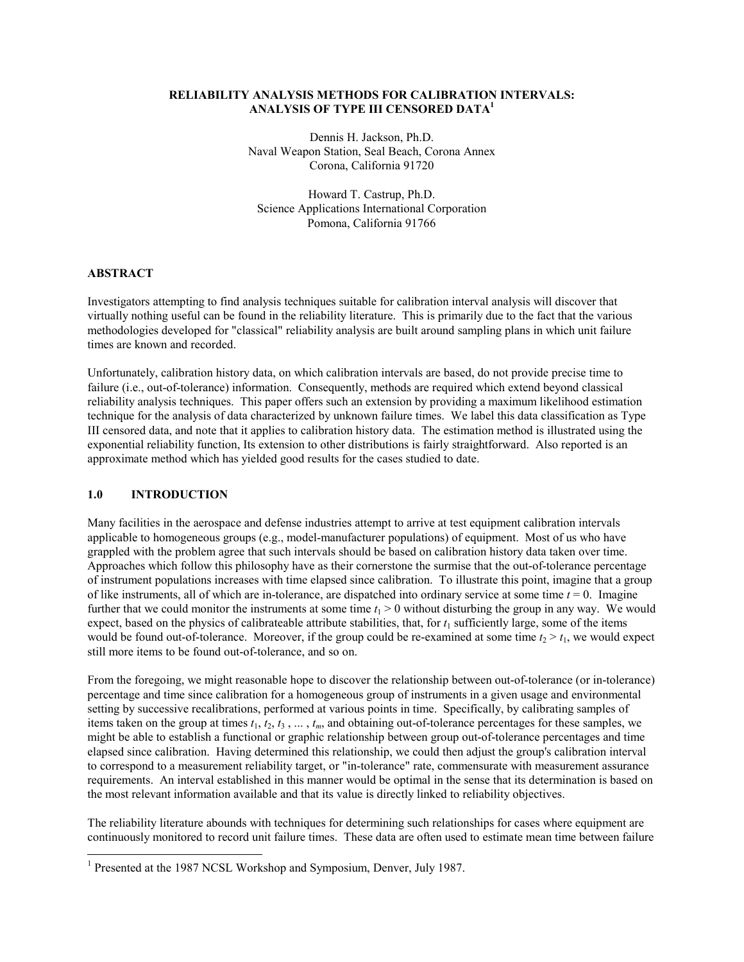## **RELIABILITY ANALYSIS METHODS FOR CALIBRATION INTERVALS: ANALYSIS OF TYPE III CENSORED DATA1**

Dennis H. Jackson, Ph.D. Naval Weapon Station, Seal Beach, Corona Annex Corona, California 91720

Howard T. Castrup, Ph.D. Science Applications International Corporation Pomona, California 91766

## **ABSTRACT**

Investigators attempting to find analysis techniques suitable for calibration interval analysis will discover that virtually nothing useful can be found in the reliability literature. This is primarily due to the fact that the various methodologies developed for "classical" reliability analysis are built around sampling plans in which unit failure times are known and recorded.

Unfortunately, calibration history data, on which calibration intervals are based, do not provide precise time to failure (i.e., out-of-tolerance) information. Consequently, methods are required which extend beyond classical reliability analysis techniques. This paper offers such an extension by providing a maximum likelihood estimation technique for the analysis of data characterized by unknown failure times. We label this data classification as Type III censored data, and note that it applies to calibration history data. The estimation method is illustrated using the exponential reliability function, Its extension to other distributions is fairly straightforward. Also reported is an approximate method which has yielded good results for the cases studied to date.

## **1.0 INTRODUCTION**

 $\overline{\phantom{a}}$ 

Many facilities in the aerospace and defense industries attempt to arrive at test equipment calibration intervals applicable to homogeneous groups (e.g., model-manufacturer populations) of equipment. Most of us who have grappled with the problem agree that such intervals should be based on calibration history data taken over time. Approaches which follow this philosophy have as their cornerstone the surmise that the out-of-tolerance percentage of instrument populations increases with time elapsed since calibration. To illustrate this point, imagine that a group of like instruments, all of which are in-tolerance, are dispatched into ordinary service at some time  $t = 0$ . Imagine further that we could monitor the instruments at some time  $t_1 > 0$  without disturbing the group in any way. We would expect, based on the physics of calibrateable attribute stabilities, that, for  $t_1$  sufficiently large, some of the items would be found out-of-tolerance. Moreover, if the group could be re-examined at some time  $t_2 > t_1$ , we would expect still more items to be found out-of-tolerance, and so on.

From the foregoing, we might reasonable hope to discover the relationship between out-of-tolerance (or in-tolerance) percentage and time since calibration for a homogeneous group of instruments in a given usage and environmental setting by successive recalibrations, performed at various points in time. Specifically, by calibrating samples of items taken on the group at times  $t_1, t_2, t_3, \ldots, t_m$ , and obtaining out-of-tolerance percentages for these samples, we might be able to establish a functional or graphic relationship between group out-of-tolerance percentages and time elapsed since calibration. Having determined this relationship, we could then adjust the group's calibration interval to correspond to a measurement reliability target, or "in-tolerance" rate, commensurate with measurement assurance requirements. An interval established in this manner would be optimal in the sense that its determination is based on the most relevant information available and that its value is directly linked to reliability objectives.

The reliability literature abounds with techniques for determining such relationships for cases where equipment are continuously monitored to record unit failure times. These data are often used to estimate mean time between failure

<sup>&</sup>lt;sup>1</sup> Presented at the 1987 NCSL Workshop and Symposium, Denver, July 1987.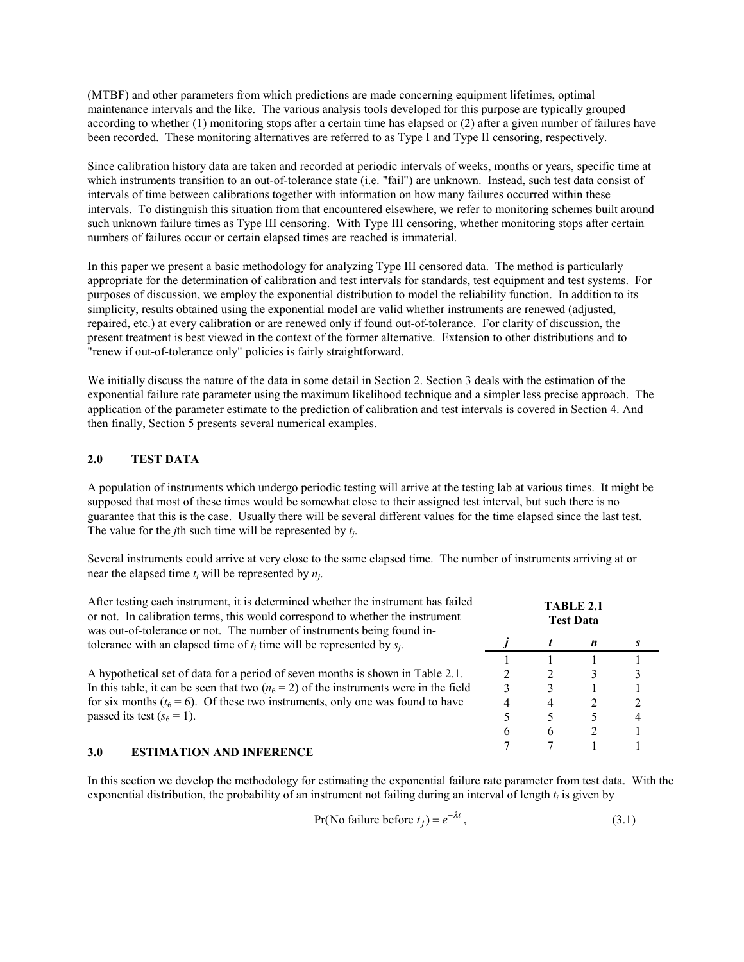(MTBF) and other parameters from which predictions are made concerning equipment lifetimes, optimal maintenance intervals and the like. The various analysis tools developed for this purpose are typically grouped according to whether (1) monitoring stops after a certain time has elapsed or (2) after a given number of failures have been recorded. These monitoring alternatives are referred to as Type I and Type II censoring, respectively.

Since calibration history data are taken and recorded at periodic intervals of weeks, months or years, specific time at which instruments transition to an out-of-tolerance state (i.e. "fail") are unknown. Instead, such test data consist of intervals of time between calibrations together with information on how many failures occurred within these intervals. To distinguish this situation from that encountered elsewhere, we refer to monitoring schemes built around such unknown failure times as Type III censoring. With Type III censoring, whether monitoring stops after certain numbers of failures occur or certain elapsed times are reached is immaterial.

In this paper we present a basic methodology for analyzing Type III censored data. The method is particularly appropriate for the determination of calibration and test intervals for standards, test equipment and test systems. For purposes of discussion, we employ the exponential distribution to model the reliability function. In addition to its simplicity, results obtained using the exponential model are valid whether instruments are renewed (adjusted, repaired, etc.) at every calibration or are renewed only if found out-of-tolerance. For clarity of discussion, the present treatment is best viewed in the context of the former alternative. Extension to other distributions and to "renew if out-of-tolerance only" policies is fairly straightforward.

We initially discuss the nature of the data in some detail in Section 2. Section 3 deals with the estimation of the exponential failure rate parameter using the maximum likelihood technique and a simpler less precise approach. The application of the parameter estimate to the prediction of calibration and test intervals is covered in Section 4. And then finally, Section 5 presents several numerical examples.

# **2.0 TEST DATA**

A population of instruments which undergo periodic testing will arrive at the testing lab at various times. It might be supposed that most of these times would be somewhat close to their assigned test interval, but such there is no guarantee that this is the case. Usually there will be several different values for the time elapsed since the last test. The value for the *j*th such time will be represented by *tj*.

Several instruments could arrive at very close to the same elapsed time. The number of instruments arriving at or near the elapsed time *ti* will be represented by *nj*.

| After testing each instrument, it is determined whether the instrument has failed<br>or not. In calibration terms, this would correspond to whether the instrument<br>was out-of-tolerance or not. The number of instruments being found in-<br>tolerance with an elapsed time of $t_i$ time will be represented by $s_i$ . |   | <b>TABLE 2.1</b><br><b>Test Data</b> |   |   |
|-----------------------------------------------------------------------------------------------------------------------------------------------------------------------------------------------------------------------------------------------------------------------------------------------------------------------------|---|--------------------------------------|---|---|
|                                                                                                                                                                                                                                                                                                                             |   |                                      | n |   |
|                                                                                                                                                                                                                                                                                                                             |   |                                      |   |   |
| A hypothetical set of data for a period of seven months is shown in Table 2.1.                                                                                                                                                                                                                                              |   |                                      |   |   |
| In this table, it can be seen that two $(n_6 = 2)$ of the instruments were in the field                                                                                                                                                                                                                                     |   |                                      |   |   |
| for six months ( $t_6 = 6$ ). Of these two instruments, only one was found to have                                                                                                                                                                                                                                          | 4 | 4                                    | 2 |   |
| passed its test $(s_6 = 1)$ .                                                                                                                                                                                                                                                                                               |   | ད                                    |   | 4 |
|                                                                                                                                                                                                                                                                                                                             | h | 6                                    |   |   |
| 2 A<br>ESTIM ATION AND INEEDENCE                                                                                                                                                                                                                                                                                            |   |                                      |   |   |

# **3.0 ESTIMATION AND INFERENCE**

In this section we develop the methodology for estimating the exponential failure rate parameter from test data. With the exponential distribution, the probability of an instrument not failing during an interval of length  $t_i$  is given by

$$
Pr(No failure before tj) = e^{-\lambda t},
$$
\n(3.1)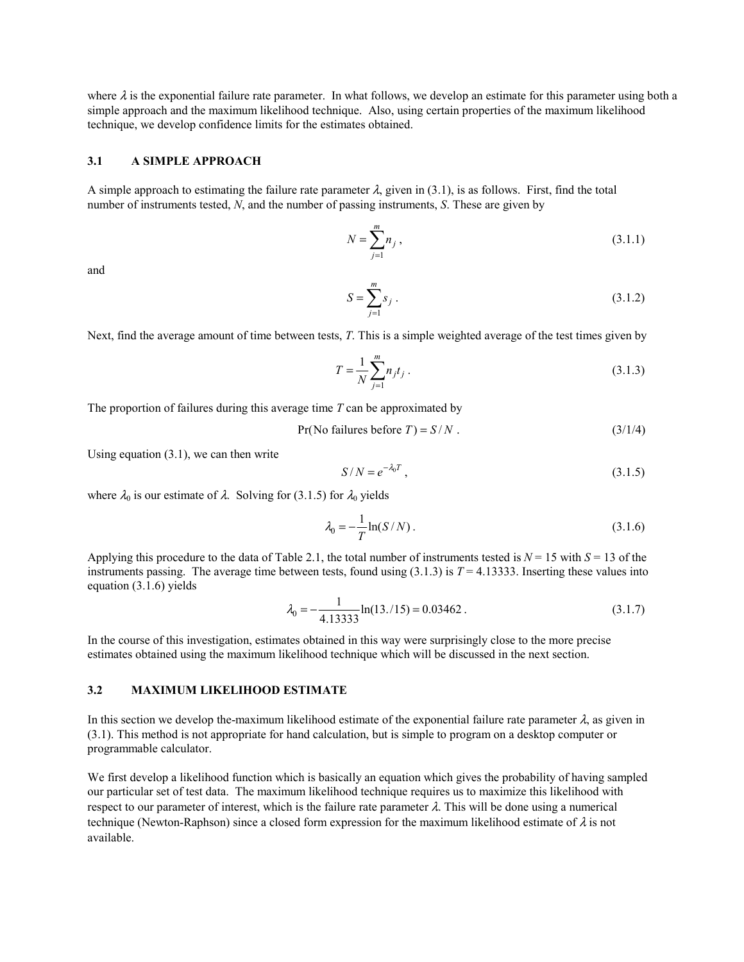where  $\lambda$  is the exponential failure rate parameter. In what follows, we develop an estimate for this parameter using both a simple approach and the maximum likelihood technique. Also, using certain properties of the maximum likelihood technique, we develop confidence limits for the estimates obtained.

## **3.1 A SIMPLE APPROACH**

A simple approach to estimating the failure rate parameter  $\lambda$ , given in (3.1), is as follows. First, find the total number of instruments tested, *N*, and the number of passing instruments, *S*. These are given by

$$
N = \sum_{j=1}^{m} n_j , \qquad (3.1.1)
$$

and

$$
S = \sum_{j=1}^{m} s_j .
$$
 (3.1.2)

Next, find the average amount of time between tests, *T*. This is a simple weighted average of the test times given by

$$
T = \frac{1}{N} \sum_{j=1}^{m} n_j t_j \,. \tag{3.1.3}
$$

The proportion of failures during this average time *T* can be approximated by

 $Pr(No failures before T) = S/N$ . (3/1/4)

Using equation (3.1), we can then write

$$
S/N = e^{-\lambda_0 T},
$$
\n(3.1.5)

where  $\lambda_0$  is our estimate of  $\lambda$ . Solving for (3.1.5) for  $\lambda_0$  yields

$$
\lambda_0 = -\frac{1}{T} \ln(S/N) \,. \tag{3.1.6}
$$

Applying this procedure to the data of Table 2.1, the total number of instruments tested is  $N = 15$  with  $S = 13$  of the instruments passing. The average time between tests, found using  $(3.1.3)$  is  $T = 4.13333$ . Inserting these values into equation (3.1.6) yields

$$
\lambda_0 = -\frac{1}{4.13333} \ln(13./15) = 0.03462 \,. \tag{3.1.7}
$$

In the course of this investigation, estimates obtained in this way were surprisingly close to the more precise estimates obtained using the maximum likelihood technique which will be discussed in the next section.

### **3.2 MAXIMUM LIKELIHOOD ESTIMATE**

In this section we develop the-maximum likelihood estimate of the exponential failure rate parameter  $\lambda$ , as given in (3.1). This method is not appropriate for hand calculation, but is simple to program on a desktop computer or programmable calculator.

We first develop a likelihood function which is basically an equation which gives the probability of having sampled our particular set of test data. The maximum likelihood technique requires us to maximize this likelihood with respect to our parameter of interest, which is the failure rate parameter  $\lambda$ . This will be done using a numerical technique (Newton-Raphson) since a closed form expression for the maximum likelihood estimate of  $\lambda$  is not available.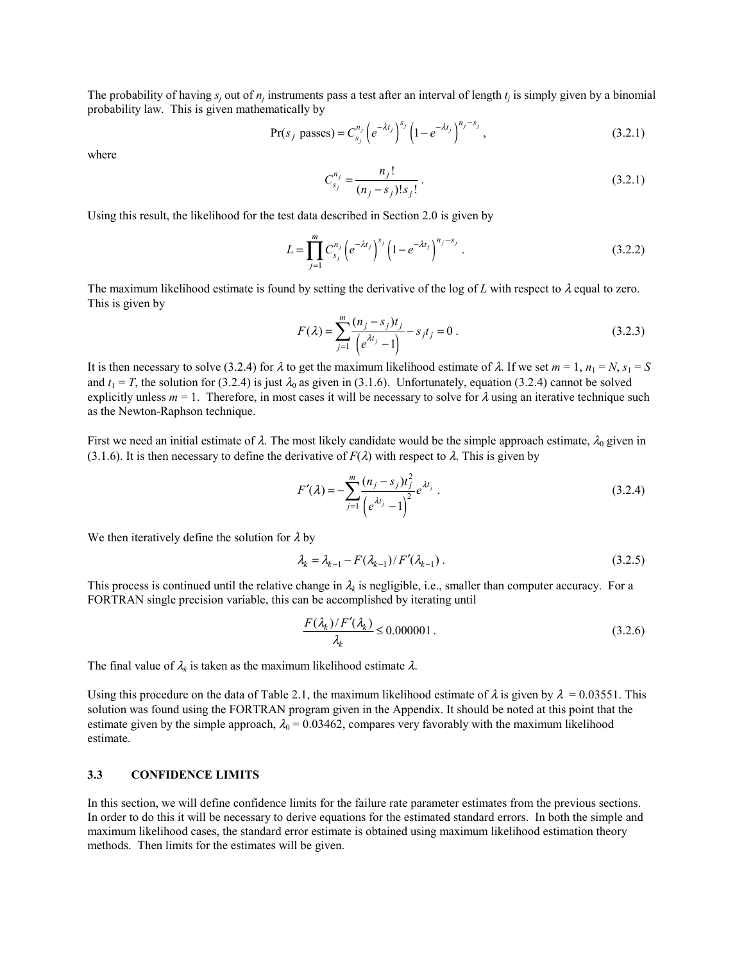The probability of having  $s_i$  out of  $n_i$  instruments pass a test after an interval of length  $t_i$  is simply given by a binomial probability law. This is given mathematically by

$$
Pr(s_j \text{ passes}) = C_{s_j}^{n_j} \left( e^{-\lambda t_j} \right)^{s_j} \left( 1 - e^{-\lambda t_j} \right)^{n_j - s_j},
$$
\n(3.2.1)

where

$$
C_{s_j}^{n_j} = \frac{n_j!}{(n_j - s_j)! s_j!}.
$$
\n(3.2.1)

Using this result, the likelihood for the test data described in Section 2.0 is given by

$$
L = \prod_{j=1}^{m} C_{s_j}^{n_j} \left( e^{-\lambda t_j} \right)^{s_j} \left( 1 - e^{-\lambda t_j} \right)^{n_j - s_j} . \tag{3.2.2}
$$

The maximum likelihood estimate is found by setting the derivative of the log of L with respect to  $\lambda$  equal to zero. This is given by

$$
F(\lambda) = \sum_{j=1}^{m} \frac{(n_j - s_j)t_j}{\left(e^{\lambda t_j} - 1\right)} - s_j t_j = 0.
$$
 (3.2.3)

It is then necessary to solve (3.2.4) for  $\lambda$  to get the maximum likelihood estimate of  $\lambda$ . If we set  $m = 1$ ,  $n_1 = N$ ,  $s_1 = S$ and  $t_1 = T$ , the solution for (3.2.4) is just  $\lambda_0$  as given in (3.1.6). Unfortunately, equation (3.2.4) cannot be solved explicitly unless  $m = 1$ . Therefore, in most cases it will be necessary to solve for  $\lambda$  using an iterative technique such as the Newton-Raphson technique.

First we need an initial estimate of  $\lambda$ . The most likely candidate would be the simple approach estimate,  $\lambda_0$  given in (3.1.6). It is then necessary to define the derivative of  $F(\lambda)$  with respect to  $\lambda$ . This is given by

$$
F'(\lambda) = -\sum_{j=1}^{m} \frac{(n_j - s_j)t_j^2}{(e^{\lambda t_j} - 1)^2} e^{\lambda t_j} .
$$
 (3.2.4)

We then iteratively define the solution for  $\lambda$  by

$$
\lambda_k = \lambda_{k-1} - F(\lambda_{k-1}) / F'(\lambda_{k-1}) \,. \tag{3.2.5}
$$

This process is continued until the relative change in  $\lambda_k$  is negligible, i.e., smaller than computer accuracy. For a FORTRAN single precision variable, this can be accomplished by iterating until

$$
\frac{F(\lambda_k)/F'(\lambda_k)}{\lambda_k} \le 0.000001.
$$
\n(3.2.6)

The final value of  $\lambda_k$  is taken as the maximum likelihood estimate  $\lambda$ .

Using this procedure on the data of Table 2.1, the maximum likelihood estimate of  $\lambda$  is given by  $\lambda = 0.03551$ . This solution was found using the FORTRAN program given in the Appendix. It should be noted at this point that the estimate given by the simple approach,  $\lambda_0 = 0.03462$ , compares very favorably with the maximum likelihood estimate.

# **3.3 CONFIDENCE LIMITS**

In this section, we will define confidence limits for the failure rate parameter estimates from the previous sections. In order to do this it will be necessary to derive equations for the estimated standard errors. In both the simple and maximum likelihood cases, the standard error estimate is obtained using maximum likelihood estimation theory methods. Then limits for the estimates will be given.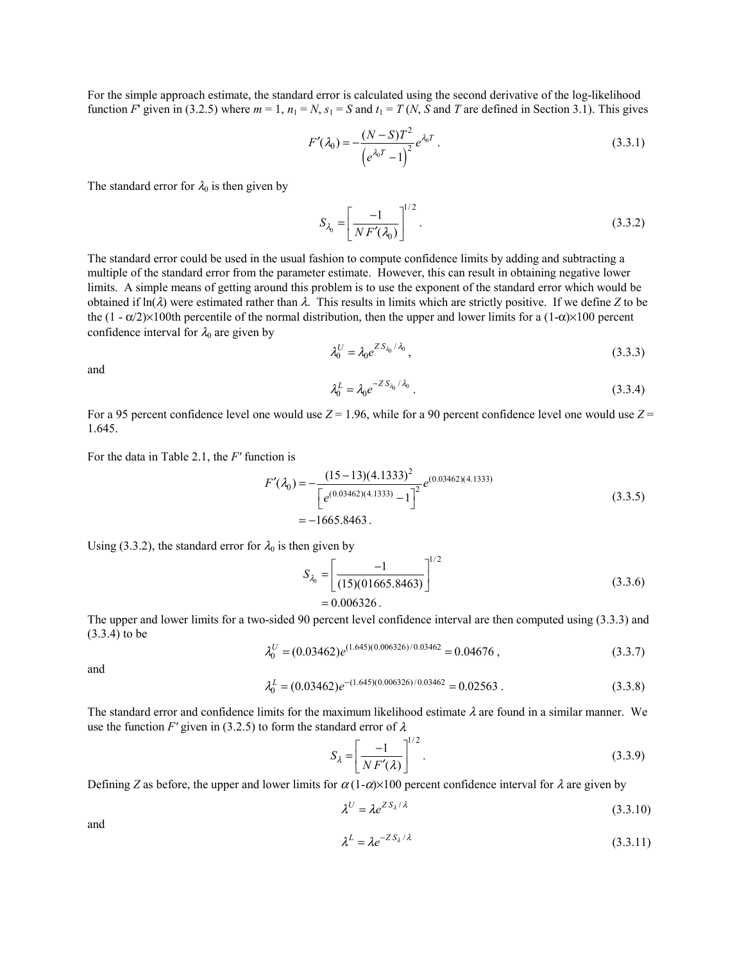For the simple approach estimate, the standard error is calculated using the second derivative of the log-likelihood function *F*' given in (3.2.5) where  $m = 1$ ,  $n_1 = N$ ,  $s_1 = S$  and  $t_1 = T(N, S)$  and *T* are defined in Section 3.1). This gives

$$
F'(\lambda_0) = -\frac{(N-S)T^2}{\left(e^{\lambda_0 T} - 1\right)^2} e^{\lambda_0 T}.
$$
 (3.3.1)

The standard error for  $\lambda_0$  is then given by

$$
S_{\lambda_0} = \left[\frac{-1}{N F'(\lambda_0)}\right]^{1/2}.
$$
\n(3.3.2)

The standard error could be used in the usual fashion to compute confidence limits by adding and subtracting a multiple of the standard error from the parameter estimate. However, this can result in obtaining negative lower limits. A simple means of getting around this problem is to use the exponent of the standard error which would be obtained if  $\ln(\lambda)$  were estimated rather than  $\lambda$ . This results in limits which are strictly positive. If we define *Z* to be the  $(1 - \alpha/2) \times 100$ th percentile of the normal distribution, then the upper and lower limits for a  $(1-\alpha) \times 100$  percent confidence interval for  $\lambda_0$  are given by

$$
\lambda_0^U = \lambda_0 e^{Z S_{\lambda_0} / \lambda_0},\tag{3.3.3}
$$

and

$$
\lambda_0^L = \lambda_0 e^{-Z S_{\lambda_0} / \lambda_0} \,. \tag{3.3.4}
$$

For a 95 percent confidence level one would use  $Z = 1.96$ , while for a 90 percent confidence level one would use  $Z = 1.96$ 1.645.

For the data in Table 2.1, the *F'* function is

$$
F'(\lambda_0) = -\frac{(15-13)(4.1333)^2}{\left[e^{(0.03462)(4.1333)} - 1\right]^2} e^{(0.03462)(4.1333)}
$$
\n
$$
= -1665.8463.
$$
\n(3.3.5)

Using (3.3.2), the standard error for  $\lambda_0$  is then given by

$$
S_{\lambda_0} = \left[ \frac{-1}{(15)(01665.8463)} \right]^{1/2}
$$
  
= 0.006326. (3.3.6)

The upper and lower limits for a two-sided 90 percent level confidence interval are then computed using (3.3.3) and (3.3.4) to be

$$
\lambda_0^U = (0.03462)e^{(1.645)(0.006326)/0.03462} = 0.04676,
$$
\n(3.3.7)

and

$$
\lambda_0^L = (0.03462)e^{-(1.645)(0.006326)/0.03462} = 0.02563.
$$
\n(3.3.8)

The standard error and confidence limits for the maximum likelihood estimate  $\lambda$  are found in a similar manner. We use the function *F'* given in (3.2.5) to form the standard error of  $\lambda$ 

$$
S_{\lambda} = \left[\frac{-1}{NF'(\lambda)}\right]^{1/2}.\tag{3.3.9}
$$

Defining *Z* as before, the upper and lower limits for  $\alpha(1-\alpha) \times 100$  percent confidence interval for  $\lambda$  are given by

$$
\lambda^U = \lambda e^{Z S_\lambda / \lambda} \tag{3.3.10}
$$

and

$$
\lambda^L = \lambda e^{-Z S_\lambda / \lambda} \tag{3.3.11}
$$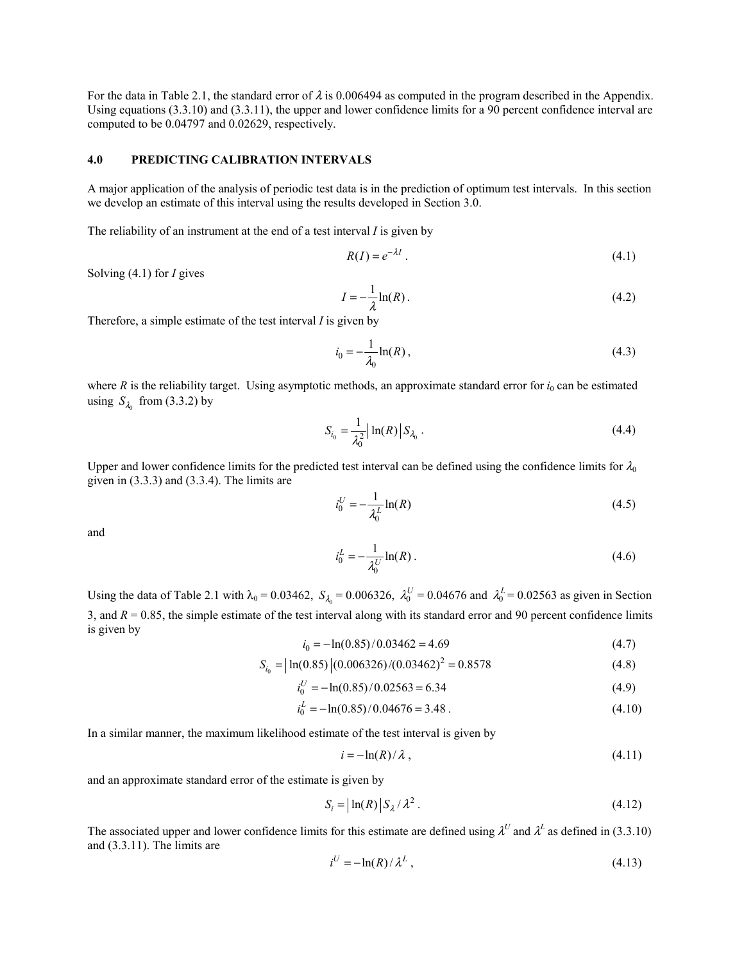For the data in Table 2.1, the standard error of  $\lambda$  is 0.006494 as computed in the program described in the Appendix. Using equations (3.3.10) and (3.3.11), the upper and lower confidence limits for a 90 percent confidence interval are computed to be 0.04797 and 0.02629, respectively.

## **4.0 PREDICTING CALIBRATION INTERVALS**

A major application of the analysis of periodic test data is in the prediction of optimum test intervals. In this section we develop an estimate of this interval using the results developed in Section 3.0.

The reliability of an instrument at the end of a test interval *I* is given by

$$
R(I) = e^{-\lambda I} \tag{4.1}
$$

Solving (4.1) for *I* gives

$$
I = -\frac{1}{\lambda} \ln(R) \tag{4.2}
$$

Therefore, a simple estimate of the test interval *I* is given by

$$
i_0 = -\frac{1}{\lambda_0} \ln(R) \,, \tag{4.3}
$$

where  $R$  is the reliability target. Using asymptotic methods, an approximate standard error for  $i<sub>0</sub>$  can be estimated using  $S_{\lambda}$  from (3.3.2) by

$$
S_{i_0} = \frac{1}{\lambda_0^2} \left| \ln(R) \right| S_{\lambda_0} \,. \tag{4.4}
$$

Upper and lower confidence limits for the predicted test interval can be defined using the confidence limits for  $\lambda_0$ given in (3.3.3) and (3.3.4). The limits are

$$
i_0^U = -\frac{1}{\lambda_0^L} \ln(R) \tag{4.5}
$$

and

$$
i_0^L = -\frac{1}{\lambda_0^U} \ln(R) \,. \tag{4.6}
$$

Using the data of Table 2.1 with  $\lambda_0 = 0.03462$ ,  $S_{\lambda_0} = 0.006326$ ,  $\lambda_0^U = 0.04676$  and  $\lambda_0^L = 0.02563$  as given in Section 3, and  $R = 0.85$ , the simple estimate of the test interval along with its standard error and 90 percent confidence limits is given by

$$
i_0 = -\ln(0.85)/0.03462 = 4.69\tag{4.7}
$$

$$
S_{i_0} = |\ln(0.85)|(0.006326)/(0.03462)^2 = 0.8578
$$
\n(4.8)

$$
i_0^U = -\ln(0.85)/0.02563 = 6.34\tag{4.9}
$$

$$
i_0^L = -\ln(0.85)/0.04676 = 3.48
$$
 (4.10)

In a similar manner, the maximum likelihood estimate of the test interval is given by

$$
i = -\ln(R)/\lambda \tag{4.11}
$$

and an approximate standard error of the estimate is given by

$$
S_i = |\ln(R)| S_{\lambda} / \lambda^2. \tag{4.12}
$$

The associated upper and lower confidence limits for this estimate are defined using  $\lambda^U$  and  $\lambda^L$  as defined in (3.3.10) and (3.3.11). The limits are

$$
i^U = -\ln(R)/\lambda^L \,,\tag{4.13}
$$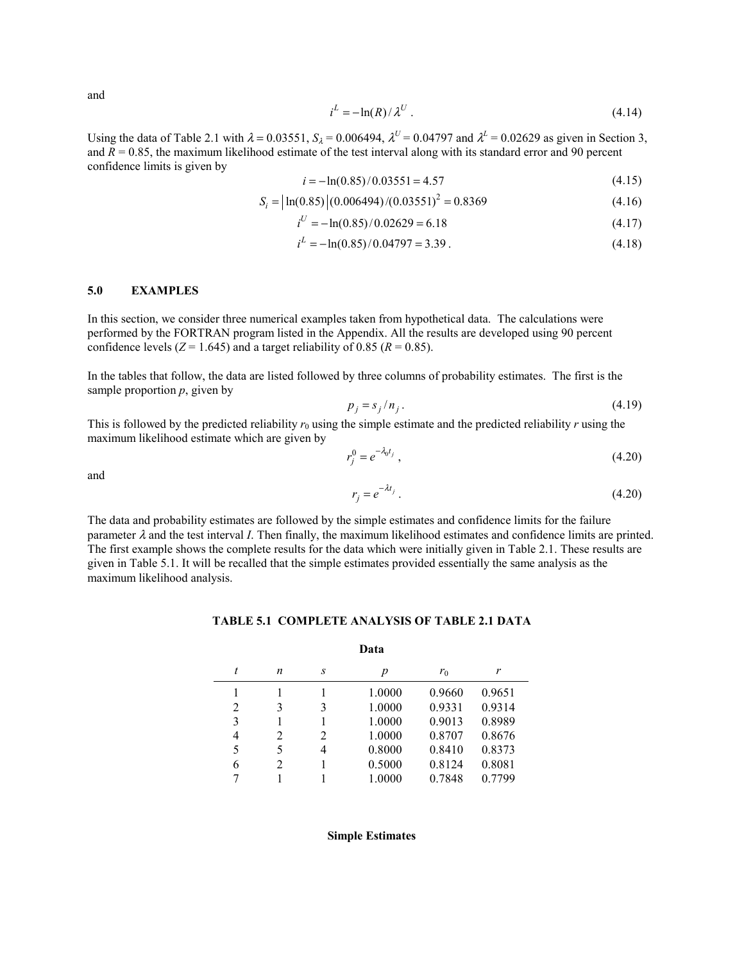and

$$
i^L = -\ln(R)/\lambda^U. \tag{4.14}
$$

Using the data of Table 2.1 with  $\lambda = 0.03551$ ,  $S_{\lambda} = 0.006494$ ,  $\lambda^{U} = 0.04797$  and  $\lambda^{L} = 0.02629$  as given in Section 3, and  $\overline{R}$  = 0.85, the maximum likelihood estimate of the test interval along with its standard error and 90 percent confidence limits is given by

$$
i = -\ln(0.85)/0.03551 = 4.57\tag{4.15}
$$

$$
S_i = \left| \ln(0.85) \right| (0.006494) / (0.03551)^2 = 0.8369 \tag{4.16}
$$

$$
i^U = -\ln(0.85)/0.02629 = 6.18\tag{4.17}
$$

$$
i^L = -\ln(0.85)/0.04797 = 3.39
$$
\n<sup>(4.18)</sup>

### **5.0 EXAMPLES**

In this section, we consider three numerical examples taken from hypothetical data. The calculations were performed by the FORTRAN program listed in the Appendix. All the results are developed using 90 percent confidence levels ( $Z = 1.645$ ) and a target reliability of 0.85 ( $R = 0.85$ ).

In the tables that follow, the data are listed followed by three columns of probability estimates. The first is the sample proportion *p*, given by

$$
p_j = s_j / n_j. \tag{4.19}
$$

This is followed by the predicted reliability  $r_0$  using the simple estimate and the predicted reliability  $r$  using the maximum likelihood estimate which are given by

$$
r_j^0 = e^{-\lambda_0 t_j},\tag{4.20}
$$

and

$$
r_j = e^{-\lambda t_j} \tag{4.20}
$$

The data and probability estimates are followed by the simple estimates and confidence limits for the failure parameter  $\lambda$  and the test interval *I*. Then finally, the maximum likelihood estimates and confidence limits are printed. The first example shows the complete results for the data which were initially given in Table 2.1. These results are given in Table 5.1. It will be recalled that the simple estimates provided essentially the same analysis as the maximum likelihood analysis.

| Data |   |   |        |        |        |
|------|---|---|--------|--------|--------|
| t    | n | S | р      | $r_0$  | r      |
|      |   |   | 1.0000 | 0.9660 | 0.9651 |
| 2    | 3 | 3 | 1.0000 | 0.9331 | 0.9314 |
| 3    |   |   | 1.0000 | 0.9013 | 0.8989 |
| 4    | 2 | 2 | 1.0000 | 0.8707 | 0.8676 |
| 5    | 5 | 4 | 0.8000 | 0.8410 | 0.8373 |
| 6    | 2 |   | 0.5000 | 0.8124 | 0.8081 |
|      |   |   | 1.0000 | 0.7848 | 0.7799 |

### **TABLE 5.1 COMPLETE ANALYSIS OF TABLE 2.1 DATA**

#### **Simple Estimates**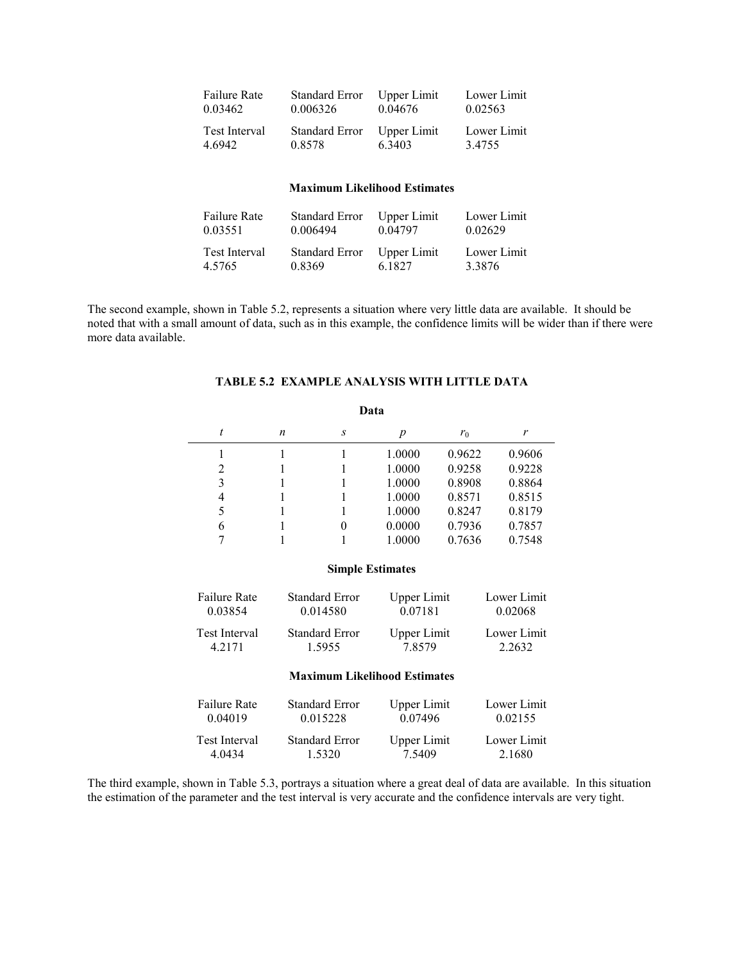| Failure Rate  | Standard Error | Upper Limit | Lower Limit |
|---------------|----------------|-------------|-------------|
| 0.03462       | 0.006326       | 0.04676     | 0.02563     |
| Test Interval | Standard Error | Upper Limit | Lower Limit |
| 4.6942        | 0.8578         | 6.3403      | 3.4755      |

## **Maximum Likelihood Estimates**

| Failure Rate  | <b>Standard Error</b> | Upper Limit | Lower Limit |
|---------------|-----------------------|-------------|-------------|
| 0.03551       | 0.006494              | 0.04797     | 0.02629     |
| Test Interval | Standard Error        | Upper Limit | Lower Limit |
| 4.5765        | 0.8369                | 6.1827      | 3.3876      |

The second example, shown in Table 5.2, represents a situation where very little data are available. It should be noted that with a small amount of data, such as in this example, the confidence limits will be wider than if there were more data available.

# **TABLE 5.2 EXAMPLE ANALYSIS WITH LITTLE DATA**

| Data |   |   |        |        |        |
|------|---|---|--------|--------|--------|
| t    | n | S | p      | $r_0$  | r      |
|      |   |   | 1.0000 | 0.9622 | 0.9606 |
| 2    |   |   | 1.0000 | 0.9258 | 0.9228 |
| 3    |   |   | 1.0000 | 0.8908 | 0.8864 |
| 4    |   |   | 1.0000 | 0.8571 | 0.8515 |
| 5    |   |   | 1.0000 | 0.8247 | 0.8179 |
| 6    |   | 0 | 0.0000 | 0.7936 | 0.7857 |
|      |   |   | 1.0000 | 0.7636 | 0.7548 |

### **Simple Estimates**

| <b>Failure Rate</b> | <b>Standard Error</b> | <b>Upper Limit</b> | Lower Limit |
|---------------------|-----------------------|--------------------|-------------|
| 0.03854             | 0.014580              | 0.07181            | 0.02068     |
| Test Interval       | <b>Standard Error</b> | Upper Limit        | Lower Limit |
| 4 2 1 7 1           | 1.5955                | 78579              | 2 2632      |

## **Maximum Likelihood Estimates**

| <b>Failure Rate</b> | <b>Standard Error</b> | <b>Upper Limit</b> | Lower Limit |
|---------------------|-----------------------|--------------------|-------------|
| 0.04019             | 0.015228              | 0 0 7 4 9 6        | 0.02155     |
| Test Interval       | <b>Standard Error</b> | Upper Limit        | Lower Limit |
| 4 0434              | 1.5320                | 7.5409             | 2.1680      |

The third example, shown in Table 5.3, portrays a situation where a great deal of data are available. In this situation the estimation of the parameter and the test interval is very accurate and the confidence intervals are very tight.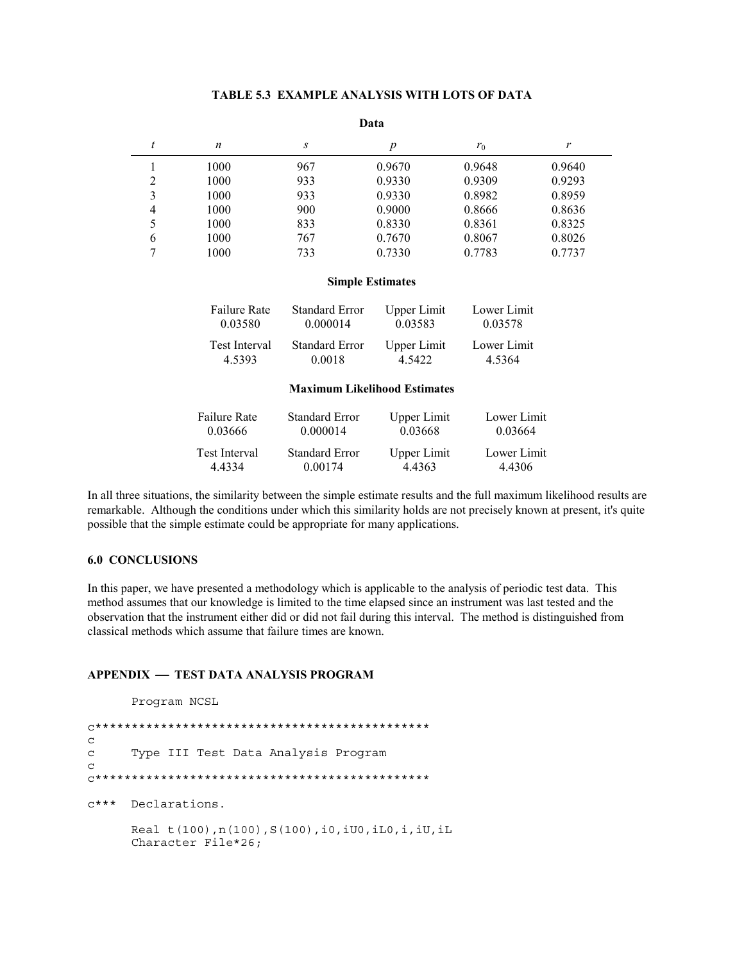## **TABLE 5.3 EXAMPLE ANALYSIS WITH LOTS OF DATA**

#### **Data**

|                | n    | S   | p      | $r_0$  | r      |
|----------------|------|-----|--------|--------|--------|
|                | 1000 | 967 | 0.9670 | 0.9648 | 0.9640 |
| 2              | 1000 | 933 | 0.9330 | 0.9309 | 0.9293 |
| 3              | 1000 | 933 | 0.9330 | 0.8982 | 0.8959 |
| $\overline{4}$ | 1000 | 900 | 0.9000 | 0.8666 | 0.8636 |
| 5              | 1000 | 833 | 0.8330 | 0.8361 | 0.8325 |
| 6              | 1000 | 767 | 0.7670 | 0.8067 | 0.8026 |
| ⇁              | 1000 | 733 | 0.7330 | 0.7783 | 0.7737 |

#### **Simple Estimates**

| <b>Failure Rate</b> | <b>Standard Error</b> | Upper Limit | Lower Limit |
|---------------------|-----------------------|-------------|-------------|
| 0.03580             | 0.000014              | 0.03583     | 0.03578     |
| Test Interval       | <b>Standard Error</b> | Upper Limit | Lower Limit |
| 4.5393              | 0.0018                | 4.5422      | 4.5364      |

### **Maximum Likelihood Estimates**

| <b>Failure Rate</b> | <b>Standard Error</b> | Upper Limit | Lower Limit |
|---------------------|-----------------------|-------------|-------------|
| 0.03666             | 0.000014              | 0.03668     | 0.03664     |
| Test Interval       | <b>Standard Error</b> | Upper Limit | Lower Limit |
| 4 4 3 3 4           | 0 0 0 1 7 4           | 4 4 3 6 3   | 44306       |

In all three situations, the similarity between the simple estimate results and the full maximum likelihood results are remarkable. Although the conditions under which this similarity holds are not precisely known at present, it's quite possible that the simple estimate could be appropriate for many applications.

## **6.0 CONCLUSIONS**

In this paper, we have presented a methodology which is applicable to the analysis of periodic test data. This method assumes that our knowledge is limited to the time elapsed since an instrument was last tested and the observation that the instrument either did or did not fail during this interval. The method is distinguished from classical methods which assume that failure times are known.

## **APPENDIX TEST DATA ANALYSIS PROGRAM**

Program NCSL

c\*\*\*\*\*\*\*\*\*\*\*\*\*\*\*\*\*\*\*\*\*\*\*\*\*\*\*\*\*\*\*\*\*\*\*\*\*\*\*\*\*\*\*\*\*\* c c Type III Test Data Analysis Program  $\Gamma$ c\*\*\*\*\*\*\*\*\*\*\*\*\*\*\*\*\*\*\*\*\*\*\*\*\*\*\*\*\*\*\*\*\*\*\*\*\*\*\*\*\*\*\*\*\*\* c\*\*\* Declarations. Real t(100),n(100),S(100),i0,iU0,iL0,i,iU,iL Character File\*26;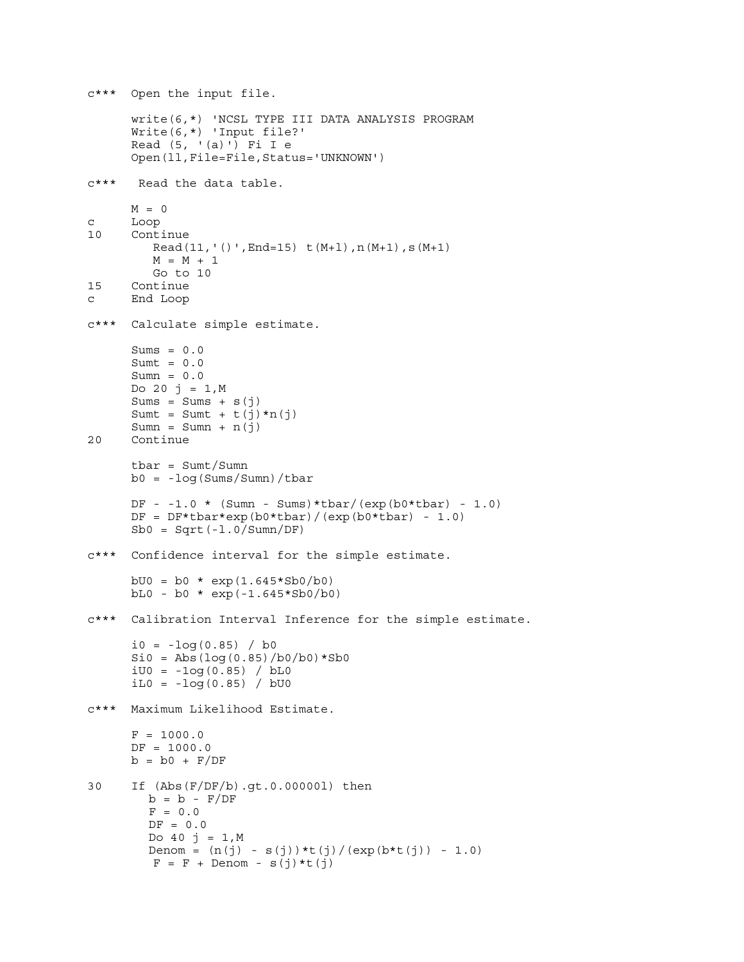```
c*** Open the input file.
      write(6,*) 'NCSL TYPE III DATA ANALYSIS PROGRAM
      Write(6,*) 'Input file?'
      Read (5, ' (a)') Fi I e
      Open(ll,File=File,Status='UNKNOWN')
c*** Read the data table.
     M = 0c Loop
10 Continue
        Read(11,'()',End=15) t(M+1),n(M+1),s(M+1)M = M + 1Go to 10
15 Continue
c End Loop
c*** Calculate simple estimate.
      Sums = 0.0Sumt = 0.0Sumn = 0.0Do 20 j = 1,MSums = Sums + s(j)Sumt = Sumt + t(j) * n(j)Sumn = Sumn + n(j)20 Continue
      tbar = Sumt/Sumn
     b0 = -log(Sums/Sumn)/tbarDF - -1.0 * (Sumn - Sums) * tbar/(exp(b0 * tbar) - 1.0)DF = DF * tbar * exp(b0 * tbar) / (exp(b0 * tbar) - 1.0)Sb0 = Sqrt(-1.0/Summ/DF)c*** Confidence interval for the simple estimate.
     bU0 = b0 * exp(1.645 * Sb0/b0)bL0 - b0 * exp(-1.645*Sb0/b0)
c*** Calibration Interval Inference for the simple estimate.
      i0 = -log(0.85) / boSi0 = Abs(log(0.85)/b0/b0)*Sb0iU0 = -1og(0.85) / bL0
      iLO = -log(0.85) / bU0c*** Maximum Likelihood Estimate.
      F = 1000.0DF = 1000.0b = b0 + F/DF30 If (Abs(F/DF/b).gt.0.00000l) then
        b = b - F/DFF = 0.0DF = 0.0Do 40 \text{ j} = 1,MDenom = (n(j) - s(j)) * t(j) / (exp(b * t(j)) - 1.0)F = F + Denom - s(j) *t(j)
```